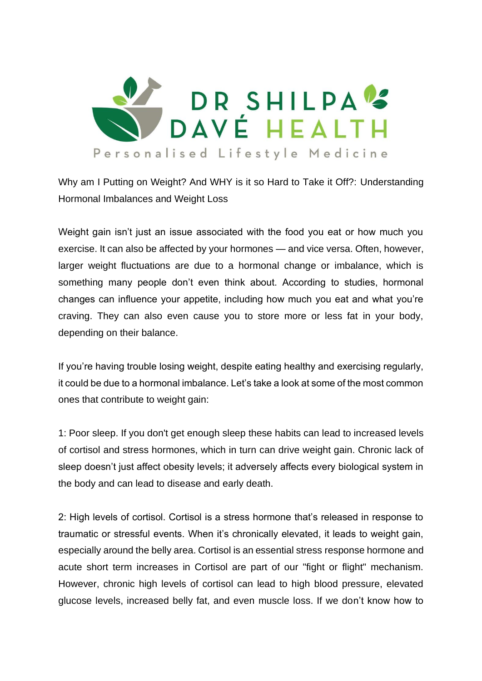

Why am I Putting on Weight? And WHY is it so Hard to Take it Off?: Understanding Hormonal Imbalances and Weight Loss

Weight gain isn't just an issue associated with the food you eat or how much you exercise. It can also be affected by your hormones — and vice versa. Often, however, larger weight fluctuations are due to a hormonal change or imbalance, which is something many people don't even think about. According to studies, hormonal changes can influence your appetite, including how much you eat and what you're craving. They can also even cause you to store more or less fat in your body, depending on their balance.

If you're having trouble losing weight, despite eating healthy and exercising regularly, it could be due to a hormonal imbalance. Let's take a look at some of the most common ones that contribute to weight gain:

1: Poor sleep. If you don't get enough sleep these habits can lead to increased levels of cortisol and stress hormones, which in turn can drive weight gain. Chronic lack of sleep doesn't just affect obesity levels; it adversely affects every biological system in the body and can lead to disease and early death.

2: High levels of cortisol. Cortisol is a stress hormone that's released in response to traumatic or stressful events. When it's chronically elevated, it leads to weight gain, especially around the belly area. Cortisol is an essential stress response hormone and acute short term increases in Cortisol are part of our "fight or flight" mechanism. However, chronic high levels of cortisol can lead to high blood pressure, elevated glucose levels, increased belly fat, and even muscle loss. If we don't know how to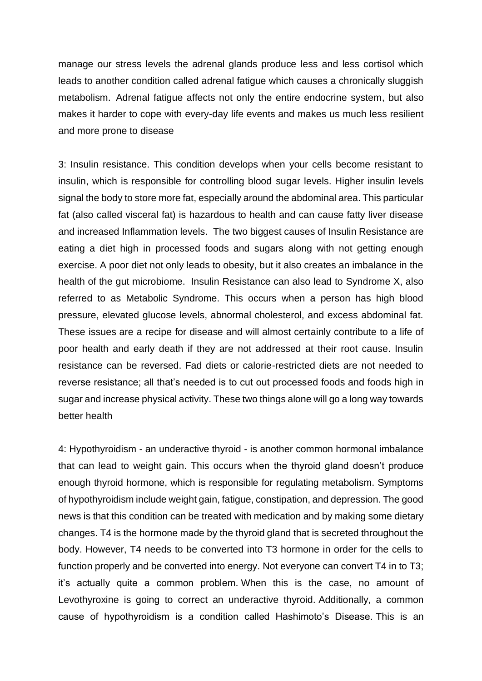manage our stress levels the adrenal glands produce less and less cortisol which leads to another condition called adrenal fatigue which causes a chronically sluggish metabolism. Adrenal fatigue affects not only the entire endocrine system, but also makes it harder to cope with every-day life events and makes us much less resilient and more prone to disease

3: Insulin resistance. This condition develops when your cells become resistant to insulin, which is responsible for controlling blood sugar levels. Higher insulin levels signal the body to store more fat, especially around the abdominal area. This particular fat (also called visceral fat) is hazardous to health and can cause fatty liver disease and increased Inflammation levels. The two biggest causes of Insulin Resistance are eating a diet high in processed foods and sugars along with not getting enough exercise. A poor diet not only leads to obesity, but it also creates an imbalance in the health of the gut microbiome. Insulin Resistance can also lead to Syndrome X, also referred to as Metabolic Syndrome. This occurs when a person has high blood pressure, elevated glucose levels, abnormal cholesterol, and excess abdominal fat. These issues are a recipe for disease and will almost certainly contribute to a life of poor health and early death if they are not addressed at their root cause. Insulin resistance can be reversed. Fad diets or calorie-restricted diets are not needed to reverse resistance; all that's needed is to cut out processed foods and foods high in sugar and increase physical activity. These two things alone will go a long way towards better health

4: Hypothyroidism - an underactive thyroid - is another common hormonal imbalance that can lead to weight gain. This occurs when the thyroid gland doesn't produce enough thyroid hormone, which is responsible for regulating metabolism. Symptoms of hypothyroidism include weight gain, fatigue, constipation, and depression. The good news is that this condition can be treated with medication and by making some dietary changes. T4 is the hormone made by the thyroid gland that is secreted throughout the body. However, T4 needs to be converted into T3 hormone in order for the cells to function properly and be converted into energy. Not everyone can convert T4 in to T3; it's actually quite a common problem. When this is the case, no amount of Levothyroxine is going to correct an underactive thyroid. Additionally, a common cause of hypothyroidism is a condition called Hashimoto's Disease. This is an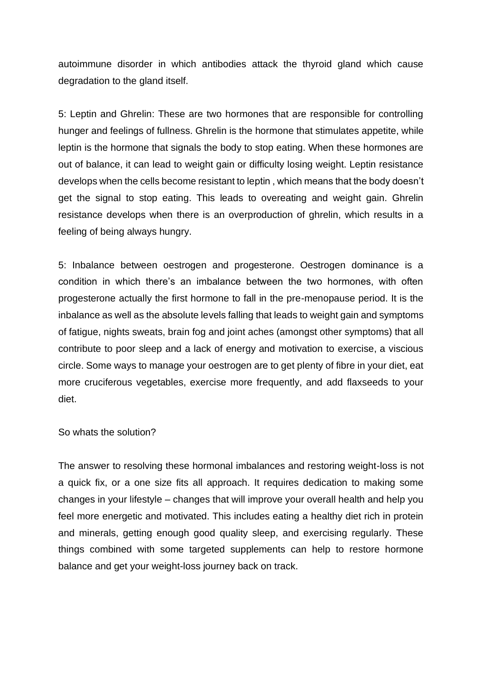autoimmune disorder in which antibodies attack the thyroid gland which cause degradation to the gland itself.

5: Leptin and Ghrelin: These are two hormones that are responsible for controlling hunger and feelings of fullness. Ghrelin is the hormone that stimulates appetite, while leptin is the hormone that signals the body to stop eating. When these hormones are out of balance, it can lead to weight gain or difficulty losing weight. Leptin resistance develops when the cells become resistant to leptin , which means that the body doesn't get the signal to stop eating. This leads to overeating and weight gain. Ghrelin resistance develops when there is an overproduction of ghrelin, which results in a feeling of being always hungry.

5: Inbalance between oestrogen and progesterone. Oestrogen dominance is a condition in which there's an imbalance between the two hormones, with often progesterone actually the first hormone to fall in the pre-menopause period. It is the inbalance as well as the absolute levels falling that leads to weight gain and symptoms of fatigue, nights sweats, brain fog and joint aches (amongst other symptoms) that all contribute to poor sleep and a lack of energy and motivation to exercise, a viscious circle. Some ways to manage your oestrogen are to get plenty of fibre in your diet, eat more cruciferous vegetables, exercise more frequently, and add flaxseeds to your diet.

So whats the solution?

The answer to resolving these hormonal imbalances and restoring weight-loss is not a quick fix, or a one size fits all approach. It requires dedication to making some changes in your lifestyle – changes that will improve your overall health and help you feel more energetic and motivated. This includes eating a healthy diet rich in protein and minerals, getting enough good quality sleep, and exercising regularly. These things combined with some targeted supplements can help to restore hormone balance and get your weight-loss journey back on track.